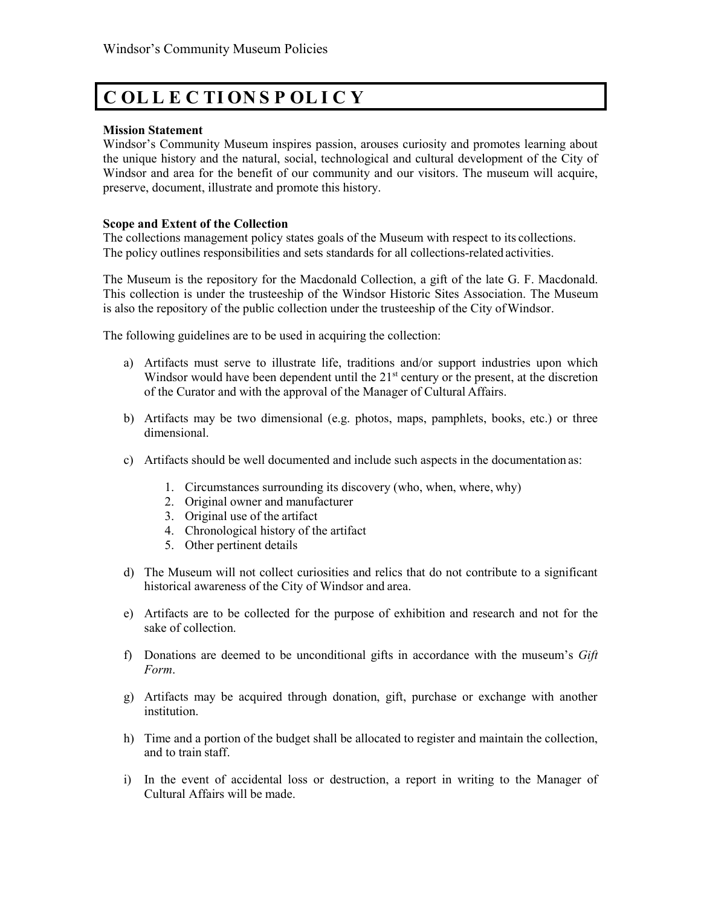# **C OL L E C TI ON S P OL I C Y**

### **Mission Statement**

Windsor's Community Museum inspires passion, arouses curiosity and promotes learning about the unique history and the natural, social, technological and cultural development of the City of Windsor and area for the benefit of our community and our visitors. The museum will acquire, preserve, document, illustrate and promote this history.

## **Scope and Extent of the Collection**

The collections management policy states goals of the Museum with respect to its collections. The policy outlines responsibilities and sets standards for all collections-related activities.

The Museum is the repository for the Macdonald Collection, a gift of the late G. F. Macdonald. This collection is under the trusteeship of the Windsor Historic Sites Association. The Museum is also the repository of the public collection under the trusteeship of the City ofWindsor.

The following guidelines are to be used in acquiring the collection:

- a) Artifacts must serve to illustrate life, traditions and/or support industries upon which Windsor would have been dependent until the  $21<sup>st</sup>$  century or the present, at the discretion of the Curator and with the approval of the Manager of Cultural Affairs.
- b) Artifacts may be two dimensional (e.g. photos, maps, pamphlets, books, etc.) or three dimensional.
- c) Artifacts should be well documented and include such aspects in the documentation as:
	- 1. Circumstances surrounding its discovery (who, when, where, why)
	- 2. Original owner and manufacturer
	- 3. Original use of the artifact
	- 4. Chronological history of the artifact
	- 5. Other pertinent details
- d) The Museum will not collect curiosities and relics that do not contribute to a significant historical awareness of the City of Windsor and area.
- e) Artifacts are to be collected for the purpose of exhibition and research and not for the sake of collection.
- f) Donations are deemed to be unconditional gifts in accordance with the museum's *Gift Form*.
- g) Artifacts may be acquired through donation, gift, purchase or exchange with another institution.
- h) Time and a portion of the budget shall be allocated to register and maintain the collection, and to train staff.
- i) In the event of accidental loss or destruction, a report in writing to the Manager of Cultural Affairs will be made.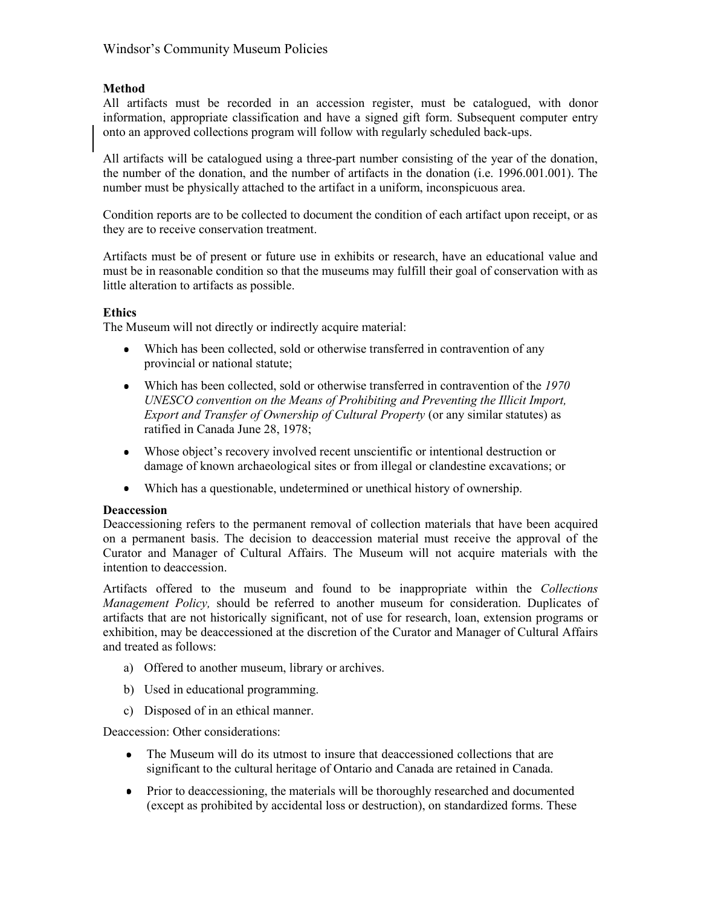# **Method**

All artifacts must be recorded in an accession register, must be catalogued, with donor information, appropriate classification and have a signed gift form. Subsequent computer entry onto an approved collections program will follow with regularly scheduled back-ups.

All artifacts will be catalogued using a three-part number consisting of the year of the donation, the number of the donation, and the number of artifacts in the donation (i.e. 1996.001.001). The number must be physically attached to the artifact in a uniform, inconspicuous area.

Condition reports are to be collected to document the condition of each artifact upon receipt, or as they are to receive conservation treatment.

Artifacts must be of present or future use in exhibits or research, have an educational value and must be in reasonable condition so that the museums may fulfill their goal of conservation with as little alteration to artifacts as possible.

## **Ethics**

The Museum will not directly or indirectly acquire material:

- Which has been collected, sold or otherwise transferred in contravention of any provincial or national statute;
- Which has been collected, sold or otherwise transferred in contravention of the *1970 UNESCO convention on the Means of Prohibiting and Preventing the Illicit Import, Export and Transfer of Ownership of Cultural Property* (or any similar statutes) as ratified in Canada June 28, 1978;
- Whose object's recovery involved recent unscientific or intentional destruction or damage of known archaeological sites or from illegal or clandestine excavations; or
- Which has a questionable, undetermined or unethical history of ownership.

## **Deaccession**

Deaccessioning refers to the permanent removal of collection materials that have been acquired on a permanent basis. The decision to deaccession material must receive the approval of the Curator and Manager of Cultural Affairs. The Museum will not acquire materials with the intention to deaccession.

Artifacts offered to the museum and found to be inappropriate within the *Collections Management Policy,* should be referred to another museum for consideration. Duplicates of artifacts that are not historically significant, not of use for research, loan, extension programs or exhibition, may be deaccessioned at the discretion of the Curator and Manager of Cultural Affairs and treated as follows:

- a) Offered to another museum, library or archives.
- b) Used in educational programming.
- c) Disposed of in an ethical manner.

Deaccession: Other considerations:

- $\bullet$ The Museum will do its utmost to insure that deaccessioned collections that are significant to the cultural heritage of Ontario and Canada are retained in Canada.
- Prior to deaccessioning, the materials will be thoroughly researched and documented (except as prohibited by accidental loss or destruction), on standardized forms. These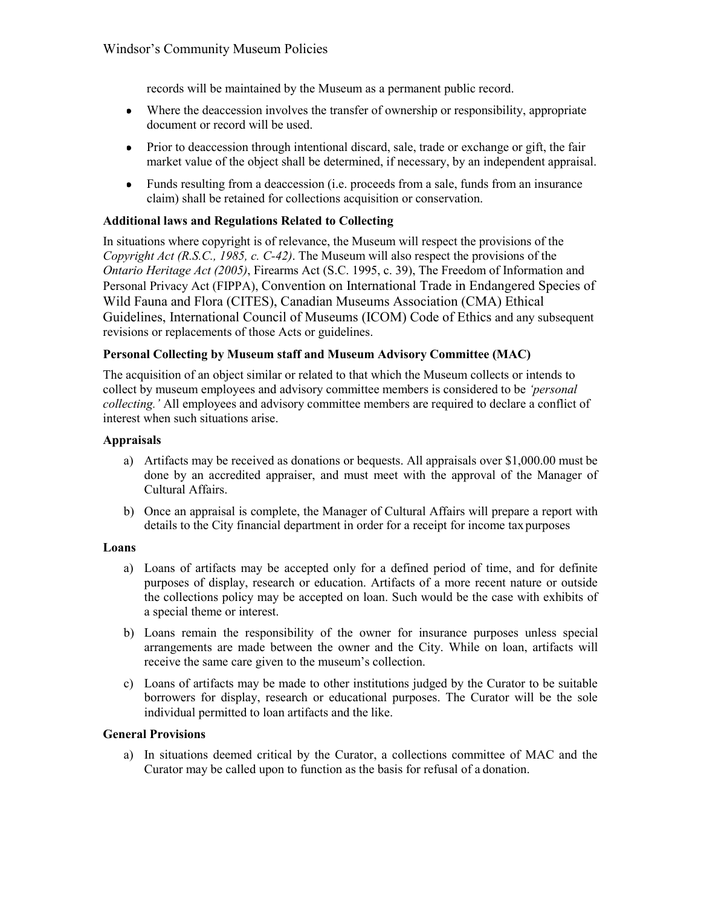records will be maintained by the Museum as a permanent public record.

- Where the deaccession involves the transfer of ownership or responsibility, appropriate  $\bullet$ document or record will be used.
- Prior to deaccession through intentional discard, sale, trade or exchange or gift, the fair  $\bullet$ market value of the object shall be determined, if necessary, by an independent appraisal.
- $\bullet$ Funds resulting from a deaccession (i.e. proceeds from a sale, funds from an insurance claim) shall be retained for collections acquisition or conservation.

## **Additional laws and Regulations Related to Collecting**

In situations where copyright is of relevance, the Museum will respect the provisions of the *Copyright Act (R.S.C., 1985, c. C-42)*. The Museum will also respect the provisions of the *Ontario Heritage Act (2005)*, Firearms Act (S.C. 1995, c. 39), The Freedom of Information and Personal Privacy Act (FIPPA), Convention on International Trade in Endangered Species of Wild Fauna and Flora (CITES), Canadian Museums Association (CMA) Ethical Guidelines, International Council of Museums (ICOM) Code of Ethics and any subsequent revisions or replacements of those Acts or guidelines.

## **Personal Collecting by Museum staff and Museum Advisory Committee (MAC)**

The acquisition of an object similar or related to that which the Museum collects or intends to collect by museum employees and advisory committee members is considered to be *'personal collecting.'* All employees and advisory committee members are required to declare a conflict of interest when such situations arise.

### **Appraisals**

- a) Artifacts may be received as donations or bequests. All appraisals over \$1,000.00 must be done by an accredited appraiser, and must meet with the approval of the Manager of Cultural Affairs.
- b) Once an appraisal is complete, the Manager of Cultural Affairs will prepare a report with details to the City financial department in order for a receipt for income tax purposes

#### **Loans**

- a) Loans of artifacts may be accepted only for a defined period of time, and for definite purposes of display, research or education. Artifacts of a more recent nature or outside the collections policy may be accepted on loan. Such would be the case with exhibits of a special theme or interest.
- b) Loans remain the responsibility of the owner for insurance purposes unless special arrangements are made between the owner and the City. While on loan, artifacts will receive the same care given to the museum's collection.
- c) Loans of artifacts may be made to other institutions judged by the Curator to be suitable borrowers for display, research or educational purposes. The Curator will be the sole individual permitted to loan artifacts and the like.

### **General Provisions**

a) In situations deemed critical by the Curator, a collections committee of MAC and the Curator may be called upon to function as the basis for refusal of a donation.